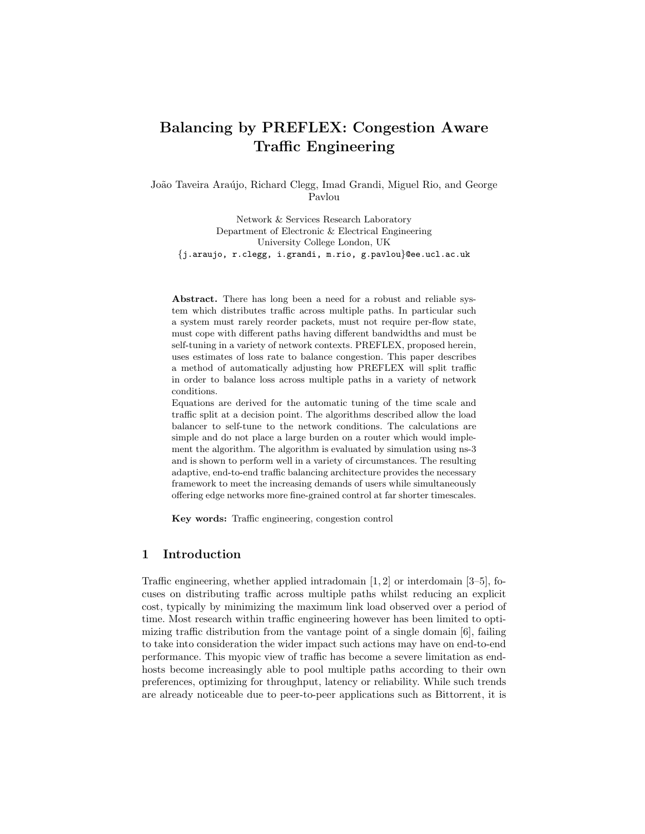# Balancing by PREFLEX: Congestion Aware Traffic Engineering

João Taveira Araújo, Richard Clegg, Imad Grandi, Miguel Rio, and George Pavlou

Network & Services Research Laboratory Department of Electronic & Electrical Engineering University College London, UK {j.araujo, r.clegg, i.grandi, m.rio, g.pavlou}@ee.ucl.ac.uk

Abstract. There has long been a need for a robust and reliable system which distributes traffic across multiple paths. In particular such a system must rarely reorder packets, must not require per-flow state, must cope with different paths having different bandwidths and must be self-tuning in a variety of network contexts. PREFLEX, proposed herein, uses estimates of loss rate to balance congestion. This paper describes a method of automatically adjusting how PREFLEX will split traffic in order to balance loss across multiple paths in a variety of network conditions.

Equations are derived for the automatic tuning of the time scale and traffic split at a decision point. The algorithms described allow the load balancer to self-tune to the network conditions. The calculations are simple and do not place a large burden on a router which would implement the algorithm. The algorithm is evaluated by simulation using ns-3 and is shown to perform well in a variety of circumstances. The resulting adaptive, end-to-end traffic balancing architecture provides the necessary framework to meet the increasing demands of users while simultaneously offering edge networks more fine-grained control at far shorter timescales.

Key words: Traffic engineering, congestion control

### 1 Introduction

Traffic engineering, whether applied intradomain [1, 2] or interdomain [3–5], focuses on distributing traffic across multiple paths whilst reducing an explicit cost, typically by minimizing the maximum link load observed over a period of time. Most research within traffic engineering however has been limited to optimizing traffic distribution from the vantage point of a single domain [6], failing to take into consideration the wider impact such actions may have on end-to-end performance. This myopic view of traffic has become a severe limitation as endhosts become increasingly able to pool multiple paths according to their own preferences, optimizing for throughput, latency or reliability. While such trends are already noticeable due to peer-to-peer applications such as Bittorrent, it is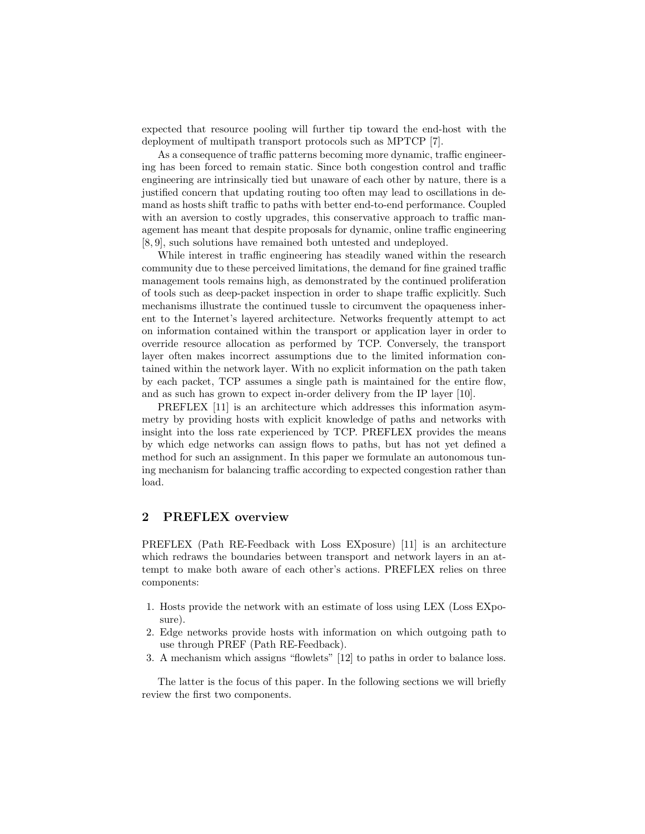expected that resource pooling will further tip toward the end-host with the deployment of multipath transport protocols such as MPTCP [7].

As a consequence of traffic patterns becoming more dynamic, traffic engineering has been forced to remain static. Since both congestion control and traffic engineering are intrinsically tied but unaware of each other by nature, there is a justified concern that updating routing too often may lead to oscillations in demand as hosts shift traffic to paths with better end-to-end performance. Coupled with an aversion to costly upgrades, this conservative approach to traffic management has meant that despite proposals for dynamic, online traffic engineering [8, 9], such solutions have remained both untested and undeployed.

While interest in traffic engineering has steadily waned within the research community due to these perceived limitations, the demand for fine grained traffic management tools remains high, as demonstrated by the continued proliferation of tools such as deep-packet inspection in order to shape traffic explicitly. Such mechanisms illustrate the continued tussle to circumvent the opaqueness inherent to the Internet's layered architecture. Networks frequently attempt to act on information contained within the transport or application layer in order to override resource allocation as performed by TCP. Conversely, the transport layer often makes incorrect assumptions due to the limited information contained within the network layer. With no explicit information on the path taken by each packet, TCP assumes a single path is maintained for the entire flow, and as such has grown to expect in-order delivery from the IP layer [10].

PREFLEX [11] is an architecture which addresses this information asymmetry by providing hosts with explicit knowledge of paths and networks with insight into the loss rate experienced by TCP. PREFLEX provides the means by which edge networks can assign flows to paths, but has not yet defined a method for such an assignment. In this paper we formulate an autonomous tuning mechanism for balancing traffic according to expected congestion rather than load.

## 2 PREFLEX overview

PREFLEX (Path RE-Feedback with Loss EXposure) [11] is an architecture which redraws the boundaries between transport and network layers in an attempt to make both aware of each other's actions. PREFLEX relies on three components:

- 1. Hosts provide the network with an estimate of loss using LEX (Loss EXposure).
- 2. Edge networks provide hosts with information on which outgoing path to use through PREF (Path RE-Feedback).
- 3. A mechanism which assigns "flowlets" [12] to paths in order to balance loss.

The latter is the focus of this paper. In the following sections we will briefly review the first two components.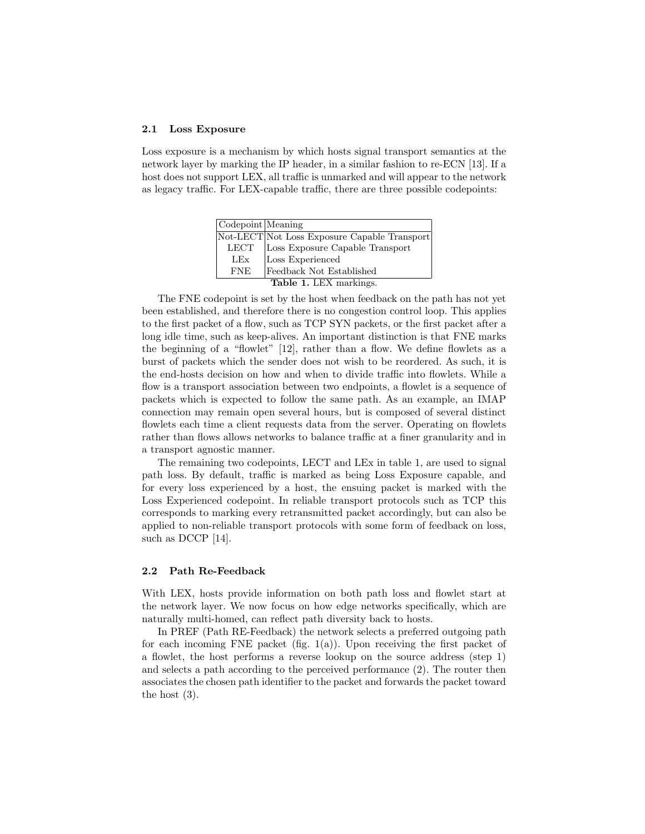#### 2.1 Loss Exposure

Loss exposure is a mechanism by which hosts signal transport semantics at the network layer by marking the IP header, in a similar fashion to re-ECN [13]. If a host does not support LEX, all traffic is unmarked and will appear to the network as legacy traffic. For LEX-capable traffic, there are three possible codepoints:

| $ $ Codepoint $ $ Meaning |                                              |
|---------------------------|----------------------------------------------|
|                           | Not-LECT Not Loss Exposure Capable Transport |
| LECT                      | Loss Exposure Capable Transport              |
| LEx                       | Loss Experienced                             |
| FNE.                      | Feedback Not Established                     |
| Table 1. LEX markings.    |                                              |

The FNE codepoint is set by the host when feedback on the path has not yet been established, and therefore there is no congestion control loop. This applies to the first packet of a flow, such as TCP SYN packets, or the first packet after a long idle time, such as keep-alives. An important distinction is that FNE marks the beginning of a "flowlet" [12], rather than a flow. We define flowlets as a burst of packets which the sender does not wish to be reordered. As such, it is the end-hosts decision on how and when to divide traffic into flowlets. While a flow is a transport association between two endpoints, a flowlet is a sequence of packets which is expected to follow the same path. As an example, an IMAP connection may remain open several hours, but is composed of several distinct flowlets each time a client requests data from the server. Operating on flowlets rather than flows allows networks to balance traffic at a finer granularity and in a transport agnostic manner.

The remaining two codepoints, LECT and LEx in table 1, are used to signal path loss. By default, traffic is marked as being Loss Exposure capable, and for every loss experienced by a host, the ensuing packet is marked with the Loss Experienced codepoint. In reliable transport protocols such as TCP this corresponds to marking every retransmitted packet accordingly, but can also be applied to non-reliable transport protocols with some form of feedback on loss, such as DCCP [14].

#### 2.2 Path Re-Feedback

With LEX, hosts provide information on both path loss and flowlet start at the network layer. We now focus on how edge networks specifically, which are naturally multi-homed, can reflect path diversity back to hosts.

In PREF (Path RE-Feedback) the network selects a preferred outgoing path for each incoming FNE packet (fig.  $1(a)$ ). Upon receiving the first packet of a flowlet, the host performs a reverse lookup on the source address (step 1) and selects a path according to the perceived performance (2). The router then associates the chosen path identifier to the packet and forwards the packet toward the host (3).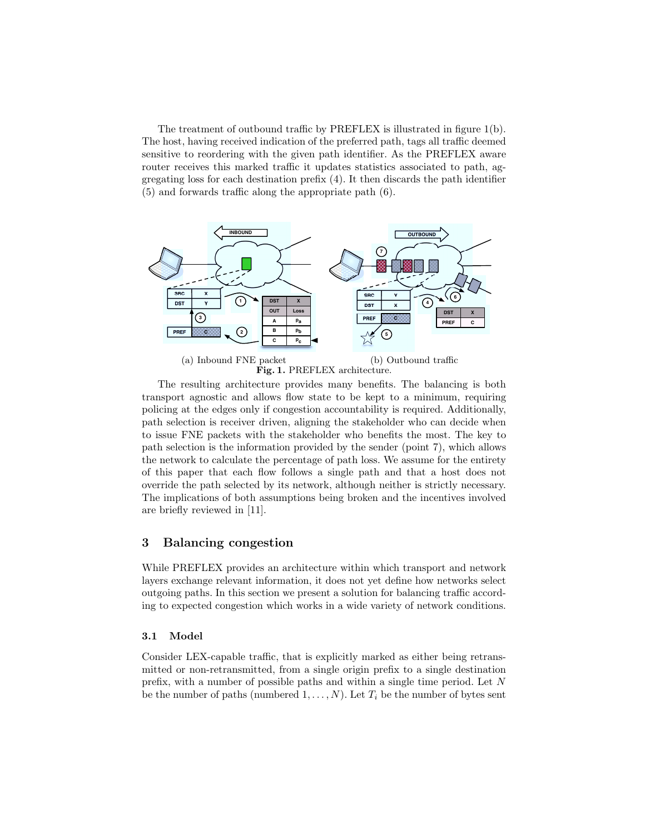The treatment of outbound traffic by PREFLEX is illustrated in figure 1(b). The host, having received indication of the preferred path, tags all traffic deemed sensitive to reordering with the given path identifier. As the PREFLEX aware router receives this marked traffic it updates statistics associated to path, aggregating loss for each destination prefix (4). It then discards the path identifier (5) and forwards traffic along the appropriate path (6).



The resulting architecture provides many benefits. The balancing is both transport agnostic and allows flow state to be kept to a minimum, requiring policing at the edges only if congestion accountability is required. Additionally, path selection is receiver driven, aligning the stakeholder who can decide when to issue FNE packets with the stakeholder who benefits the most. The key to path selection is the information provided by the sender (point 7), which allows the network to calculate the percentage of path loss. We assume for the entirety of this paper that each flow follows a single path and that a host does not override the path selected by its network, although neither is strictly necessary. The implications of both assumptions being broken and the incentives involved are briefly reviewed in [11].

### 3 Balancing congestion

While PREFLEX provides an architecture within which transport and network layers exchange relevant information, it does not yet define how networks select outgoing paths. In this section we present a solution for balancing traffic according to expected congestion which works in a wide variety of network conditions.

#### 3.1 Model

Consider LEX-capable traffic, that is explicitly marked as either being retransmitted or non-retransmitted, from a single origin prefix to a single destination prefix, with a number of possible paths and within a single time period. Let N be the number of paths (numbered  $1, \ldots, N$ ). Let  $T_i$  be the number of bytes sent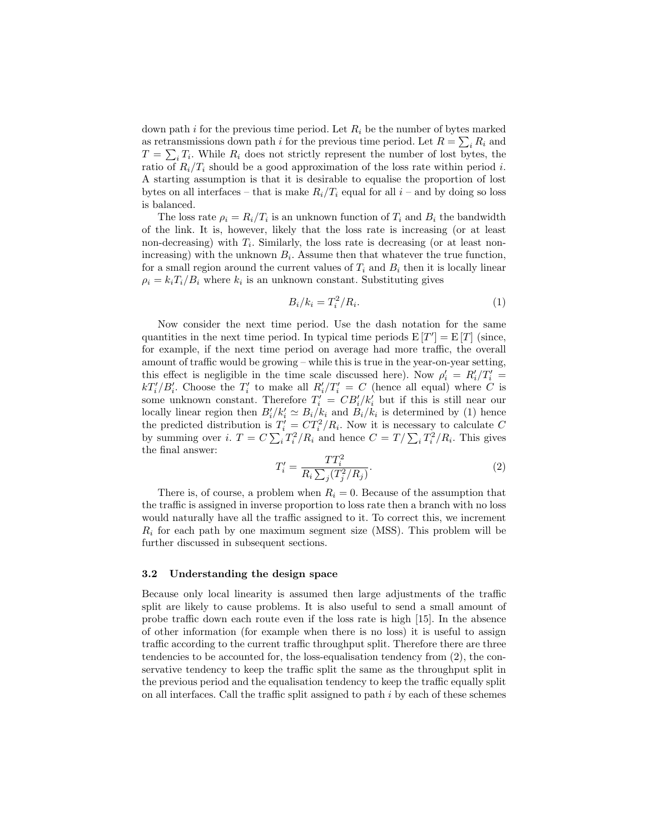down path i for the previous time period. Let  $R_i$  be the number of bytes marked as retransmissions down path *i* for the previous time period. Let  $R = \sum_i R_i$  and  $T = \sum_i T_i$ . While  $R_i$  does not strictly represent the number of lost bytes, the ratio of  $R_i/T_i$  should be a good approximation of the loss rate within period i. A starting assumption is that it is desirable to equalise the proportion of lost bytes on all interfaces – that is make  $R_i/T_i$  equal for all  $i$  – and by doing so loss is balanced.

The loss rate  $\rho_i = R_i/T_i$  is an unknown function of  $T_i$  and  $B_i$  the bandwidth of the link. It is, however, likely that the loss rate is increasing (or at least non-decreasing) with  $T_i$ . Similarly, the loss rate is decreasing (or at least nonincreasing) with the unknown  $B_i$ . Assume then that whatever the true function, for a small region around the current values of  $T_i$  and  $B_i$  then it is locally linear  $\rho_i = k_i T_i / B_i$  where  $k_i$  is an unknown constant. Substituting gives

$$
B_i/k_i = T_i^2/R_i.
$$
\n<sup>(1)</sup>

Now consider the next time period. Use the dash notation for the same quantities in the next time period. In typical time periods  $E[T'] = E[T]$  (since, for example, if the next time period on average had more traffic, the overall amount of traffic would be growing – while this is true in the year-on-year setting, this effect is negligible in the time scale discussed here). Now  $\rho_i' = R_i'/T_i' =$  $kT_i'/B_i'$ . Choose the  $T_i'$  to make all  $R_i'/T_i' = C$  (hence all equal) where C is some unknown constant. Therefore  $T_i' = CB_i'/k_i'$  but if this is still near our locally linear region then  $B_i'/k_i' \simeq B_i/k_i$  and  $B_i/k_i$  is determined by (1) hence the predicted distribution is  $T_i' = CT_i^2/R_i$ . Now it is necessary to calculate C by summing over *i*.  $T = C \sum_i T_i^2 / R_i$  and hence  $C = T / \sum_i T_i^2 / R_i$ . This gives the final answer:

$$
T_i' = \frac{TT_i^2}{R_i \sum_j (T_j^2/R_j)}.\tag{2}
$$

There is, of course, a problem when  $R_i = 0$ . Because of the assumption that the traffic is assigned in inverse proportion to loss rate then a branch with no loss would naturally have all the traffic assigned to it. To correct this, we increment  $R_i$  for each path by one maximum segment size (MSS). This problem will be further discussed in subsequent sections.

#### 3.2 Understanding the design space

Because only local linearity is assumed then large adjustments of the traffic split are likely to cause problems. It is also useful to send a small amount of probe traffic down each route even if the loss rate is high [15]. In the absence of other information (for example when there is no loss) it is useful to assign traffic according to the current traffic throughput split. Therefore there are three tendencies to be accounted for, the loss-equalisation tendency from (2), the conservative tendency to keep the traffic split the same as the throughput split in the previous period and the equalisation tendency to keep the traffic equally split on all interfaces. Call the traffic split assigned to path  $i$  by each of these schemes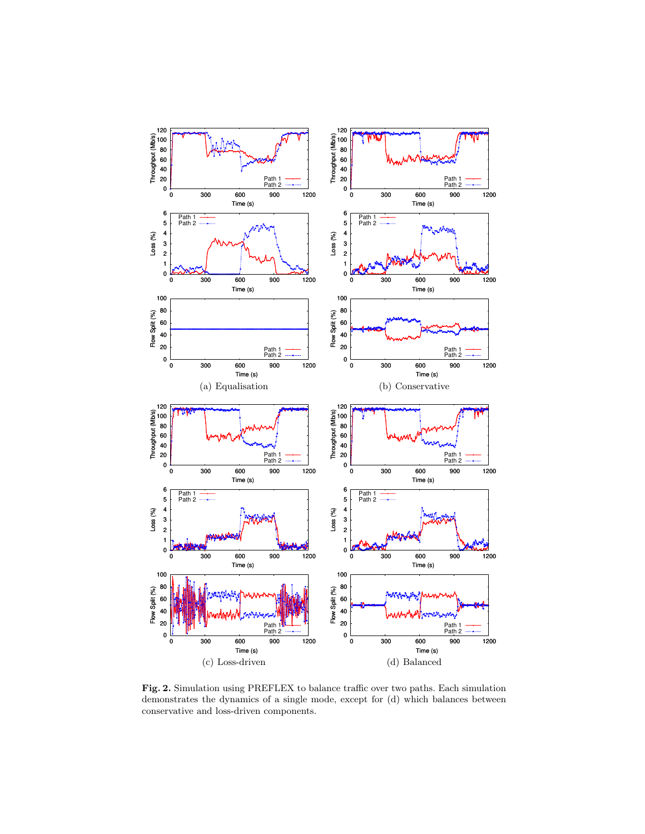

Fig. 2. Simulation using PREFLEX to balance traffic over two paths. Each simulation demonstrates the dynamics of a single mode, except for (d) which balances between conservative and loss-driven components.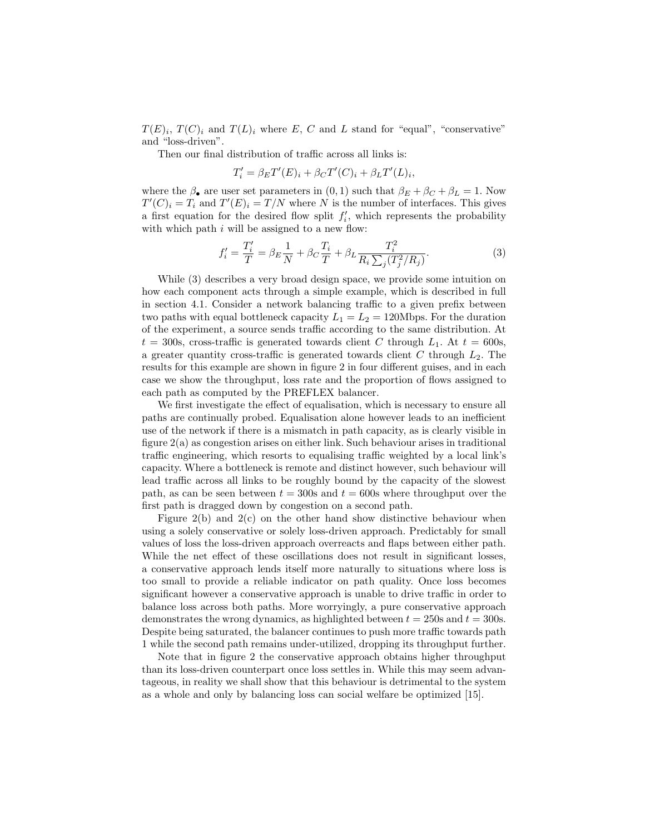$T(E)_i$ ,  $T(C)_i$  and  $T(L)_i$  where E, C and L stand for "equal", "conservative" and "loss-driven".

Then our final distribution of traffic across all links is:

$$
T_i' = \beta_E T'(E)_i + \beta_C T'(C)_i + \beta_L T'(L)_i,
$$

where the  $\beta_{\bullet}$  are user set parameters in  $(0, 1)$  such that  $\beta_E + \beta_C + \beta_L = 1$ . Now  $T'(C)_i = T_i$  and  $T'(E)_i = T/N$  where N is the number of interfaces. This gives a first equation for the desired flow split  $f_i'$ , which represents the probability with which path  $i$  will be assigned to a new flow:

$$
f_i' = \frac{T_i'}{T} = \beta_E \frac{1}{N} + \beta_C \frac{T_i}{T} + \beta_L \frac{T_i^2}{R_i \sum_j (T_j^2 / R_j)}.
$$
 (3)

While (3) describes a very broad design space, we provide some intuition on how each component acts through a simple example, which is described in full in section 4.1. Consider a network balancing traffic to a given prefix between two paths with equal bottleneck capacity  $L_1 = L_2 = 120 \text{Mbps}$ . For the duration of the experiment, a source sends traffic according to the same distribution. At  $t = 300$ s, cross-traffic is generated towards client C through  $L_1$ . At  $t = 600$ s, a greater quantity cross-traffic is generated towards client  $C$  through  $L_2$ . The results for this example are shown in figure 2 in four different guises, and in each case we show the throughput, loss rate and the proportion of flows assigned to each path as computed by the PREFLEX balancer.

We first investigate the effect of equalisation, which is necessary to ensure all paths are continually probed. Equalisation alone however leads to an inefficient use of the network if there is a mismatch in path capacity, as is clearly visible in figure 2(a) as congestion arises on either link. Such behaviour arises in traditional traffic engineering, which resorts to equalising traffic weighted by a local link's capacity. Where a bottleneck is remote and distinct however, such behaviour will lead traffic across all links to be roughly bound by the capacity of the slowest path, as can be seen between  $t = 300$ s and  $t = 600$ s where throughput over the first path is dragged down by congestion on a second path.

Figure 2(b) and 2(c) on the other hand show distinctive behaviour when using a solely conservative or solely loss-driven approach. Predictably for small values of loss the loss-driven approach overreacts and flaps between either path. While the net effect of these oscillations does not result in significant losses, a conservative approach lends itself more naturally to situations where loss is too small to provide a reliable indicator on path quality. Once loss becomes significant however a conservative approach is unable to drive traffic in order to balance loss across both paths. More worryingly, a pure conservative approach demonstrates the wrong dynamics, as highlighted between  $t = 250$ s and  $t = 300$ s. Despite being saturated, the balancer continues to push more traffic towards path 1 while the second path remains under-utilized, dropping its throughput further.

Note that in figure 2 the conservative approach obtains higher throughput than its loss-driven counterpart once loss settles in. While this may seem advantageous, in reality we shall show that this behaviour is detrimental to the system as a whole and only by balancing loss can social welfare be optimized [15].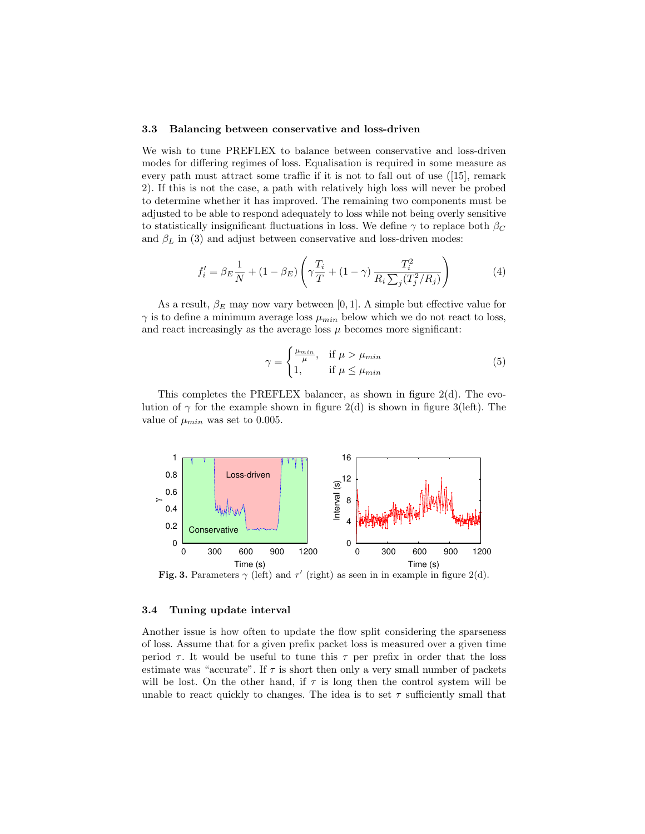#### 3.3 Balancing between conservative and loss-driven

We wish to tune PREFLEX to balance between conservative and loss-driven modes for differing regimes of loss. Equalisation is required in some measure as every path must attract some traffic if it is not to fall out of use ([15], remark 2). If this is not the case, a path with relatively high loss will never be probed to determine whether it has improved. The remaining two components must be adjusted to be able to respond adequately to loss while not being overly sensitive to statistically insignificant fluctuations in loss. We define  $\gamma$  to replace both  $\beta_C$ and  $\beta_L$  in (3) and adjust between conservative and loss-driven modes:

$$
f_i' = \beta_E \frac{1}{N} + (1 - \beta_E) \left( \gamma \frac{T_i}{T} + (1 - \gamma) \frac{T_i^2}{R_i \sum_j (T_j^2 / R_j)} \right)
$$
(4)

As a result,  $\beta_E$  may now vary between [0, 1]. A simple but effective value for  $\gamma$  is to define a minimum average loss  $\mu_{min}$  below which we do not react to loss, and react increasingly as the average loss  $\mu$  becomes more significant:

$$
\gamma = \begin{cases} \frac{\mu_{min}}{\mu}, & \text{if } \mu > \mu_{min} \\ 1, & \text{if } \mu \le \mu_{min} \end{cases}
$$
 (5)

This completes the PREFLEX balancer, as shown in figure  $2(d)$ . The evolution of  $\gamma$  for the example shown in figure 2(d) is shown in figure 3(left). The value of  $\mu_{min}$  was set to 0.005.



Fig. 3. Parameters  $\gamma$  (left) and  $\tau'$  (right) as seen in in example in figure 2(d).

#### 3.4 Tuning update interval

Another issue is how often to update the flow split considering the sparseness of loss. Assume that for a given prefix packet loss is measured over a given time period  $\tau$ . It would be useful to tune this  $\tau$  per prefix in order that the loss estimate was "accurate". If  $\tau$  is short then only a very small number of packets will be lost. On the other hand, if  $\tau$  is long then the control system will be unable to react quickly to changes. The idea is to set  $\tau$  sufficiently small that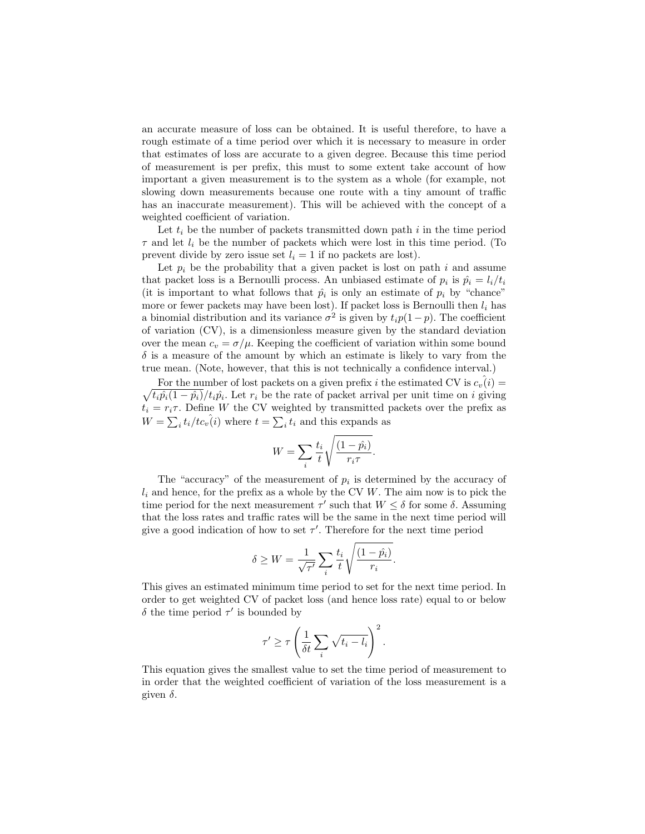an accurate measure of loss can be obtained. It is useful therefore, to have a rough estimate of a time period over which it is necessary to measure in order that estimates of loss are accurate to a given degree. Because this time period of measurement is per prefix, this must to some extent take account of how important a given measurement is to the system as a whole (for example, not slowing down measurements because one route with a tiny amount of traffic has an inaccurate measurement). This will be achieved with the concept of a weighted coefficient of variation.

Let  $t_i$  be the number of packets transmitted down path i in the time period  $\tau$  and let  $l_i$  be the number of packets which were lost in this time period. (To prevent divide by zero issue set  $l_i = 1$  if no packets are lost).

Let  $p_i$  be the probability that a given packet is lost on path i and assume that packet loss is a Bernoulli process. An unbiased estimate of  $p_i$  is  $\hat{p}_i = l_i/t_i$ (it is important to what follows that  $\hat{p}_i$  is only an estimate of  $p_i$  by "chance" more or fewer packets may have been lost). If packet loss is Bernoulli then  $l_i$  has a binomial distribution and its variance  $\sigma^2$  is given by  $t_i p(1-p)$ . The coefficient of variation (CV), is a dimensionless measure given by the standard deviation over the mean  $c_v = \sigma/\mu$ . Keeping the coefficient of variation within some bound  $\delta$  is a measure of the amount by which an estimate is likely to vary from the true mean. (Note, however, that this is not technically a confidence interval.)

For the number of lost packets on a given prefix i the estimated CV is  $c_v(i)$  =  $\sqrt{t_i \hat{p}_i(1-\hat{p}_i)}/t_i \hat{p}_i$ . Let  $r_i$  be the rate of packet arrival per unit time on i giving  $t_i = r_i \tau$ . Define W the CV weighted by transmitted packets over the prefix as  $W = \sum_i t_i/tc_v(t)$  where  $t = \sum_i t_i$  and this expands as

$$
W = \sum_{i} \frac{t_i}{t} \sqrt{\frac{(1 - \hat{p_i})}{r_i \tau}}.
$$

The "accuracy" of the measurement of  $p_i$  is determined by the accuracy of  $l_i$  and hence, for the prefix as a whole by the CV W. The aim now is to pick the time period for the next measurement  $\tau'$  such that  $W \leq \delta$  for some  $\delta$ . Assuming that the loss rates and traffic rates will be the same in the next time period will give a good indication of how to set  $\tau'$ . Therefore for the next time period

$$
\delta \ge W = \frac{1}{\sqrt{\tau'}} \sum_{i} \frac{t_i}{t} \sqrt{\frac{(1-\hat{p}_i)}{r_i}}.
$$

This gives an estimated minimum time period to set for the next time period. In order to get weighted CV of packet loss (and hence loss rate) equal to or below δ the time period  $τ'$  is bounded by

$$
\tau' \geq \tau \left( \frac{1}{\delta t} \sum_{i} \sqrt{t_i - l_i} \right)^2.
$$

This equation gives the smallest value to set the time period of measurement to in order that the weighted coefficient of variation of the loss measurement is a given  $\delta$ .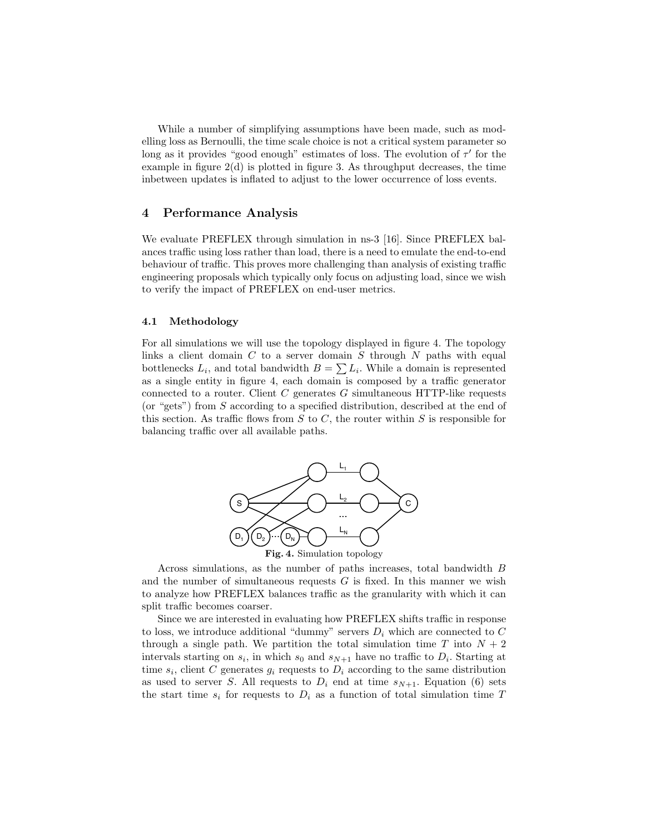While a number of simplifying assumptions have been made, such as modelling loss as Bernoulli, the time scale choice is not a critical system parameter so long as it provides "good enough" estimates of loss. The evolution of  $\tau'$  for the example in figure  $2(d)$  is plotted in figure 3. As throughput decreases, the time inbetween updates is inflated to adjust to the lower occurrence of loss events.

### 4 Performance Analysis

We evaluate PREFLEX through simulation in ns-3 [16]. Since PREFLEX balances traffic using loss rather than load, there is a need to emulate the end-to-end behaviour of traffic. This proves more challenging than analysis of existing traffic engineering proposals which typically only focus on adjusting load, since we wish to verify the impact of PREFLEX on end-user metrics.

#### 4.1 Methodology

For all simulations we will use the topology displayed in figure 4. The topology links a client domain  $C$  to a server domain  $S$  through  $N$  paths with equal bottlenecks  $L_i$ , and total bandwidth  $B = \sum L_i$ . While a domain is represented as a single entity in figure 4, each domain is composed by a traffic generator connected to a router. Client  $C$  generates  $G$  simultaneous HTTP-like requests (or "gets") from S according to a specified distribution, described at the end of this section. As traffic flows from  $S$  to  $C$ , the router within  $S$  is responsible for balancing traffic over all available paths.



Across simulations, as the number of paths increases, total bandwidth B and the number of simultaneous requests  $G$  is fixed. In this manner we wish to analyze how PREFLEX balances traffic as the granularity with which it can split traffic becomes coarser.

Since we are interested in evaluating how PREFLEX shifts traffic in response to loss, we introduce additional "dummy" servers  $D_i$  which are connected to  $C$ through a single path. We partition the total simulation time T into  $N+2$ intervals starting on  $s_i$ , in which  $s_0$  and  $s_{N+1}$  have no traffic to  $D_i$ . Starting at time  $s_i$ , client C generates  $g_i$  requests to  $D_i$  according to the same distribution as used to server S. All requests to  $D_i$  end at time  $s_{N+1}$ . Equation (6) sets the start time  $s_i$  for requests to  $D_i$  as a function of total simulation time T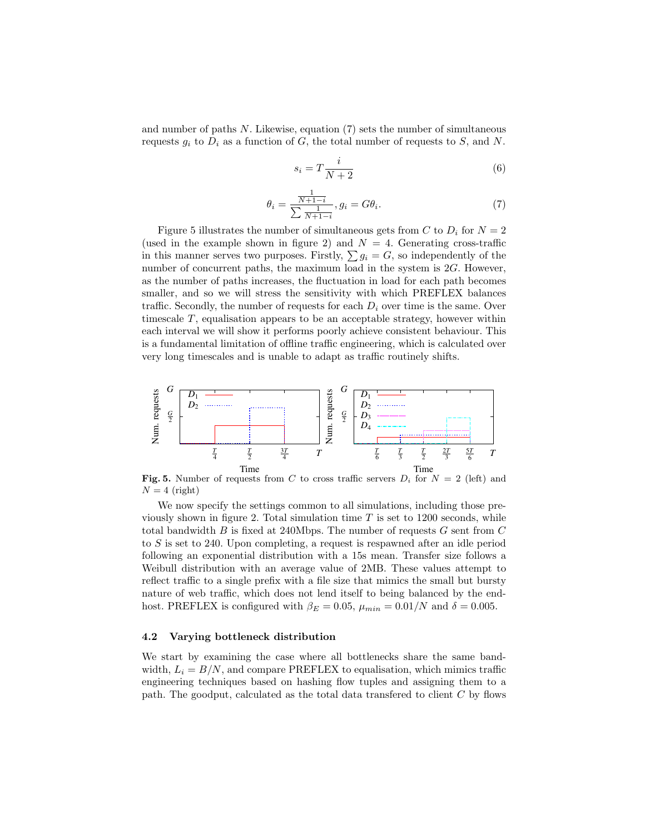and number of paths  $N$ . Likewise, equation (7) sets the number of simultaneous requests  $g_i$  to  $D_i$  as a function of G, the total number of requests to S, and N.

$$
s_i = T \frac{i}{N+2} \tag{6}
$$

$$
\theta_i = \frac{\frac{1}{N+1-i}}{\sum_{i} \frac{1}{N+1-i}}, g_i = G\theta_i.
$$
\n<sup>(7)</sup>

Figure 5 illustrates the number of simultaneous gets from C to  $D_i$  for  $N = 2$ (used in the example shown in figure 2) and  $N = 4$ . Generating cross-traffic in this manner serves two purposes. Firstly,  $\sum g_i = G$ , so independently of the number of concurrent paths, the maximum load in the system is  $2G$ . However, as the number of paths increases, the fluctuation in load for each path becomes smaller, and so we will stress the sensitivity with which PREFLEX balances traffic. Secondly, the number of requests for each  $D_i$  over time is the same. Over timescale T, equalisation appears to be an acceptable strategy, however within each interval we will show it performs poorly achieve consistent behaviour. This is a fundamental limitation of offline traffic engineering, which is calculated over very long timescales and is unable to adapt as traffic routinely shifts.



Fig. 5. Number of requests from C to cross traffic servers  $D_i$  for  $N = 2$  (left) and  $N = 4$  (right)

We now specify the settings common to all simulations, including those previously shown in figure 2. Total simulation time  $T$  is set to 1200 seconds, while total bandwidth B is fixed at 240Mbps. The number of requests  $G$  sent from  $C$ to S is set to 240. Upon completing, a request is respawned after an idle period following an exponential distribution with a 15s mean. Transfer size follows a Weibull distribution with an average value of 2MB. These values attempt to reflect traffic to a single prefix with a file size that mimics the small but bursty nature of web traffic, which does not lend itself to being balanced by the endhost. PREFLEX is configured with  $\beta_E = 0.05$ ,  $\mu_{min} = 0.01/N$  and  $\delta = 0.005$ .

#### 4.2 Varying bottleneck distribution

We start by examining the case where all bottlenecks share the same bandwidth,  $L_i = B/N$ , and compare PREFLEX to equalisation, which mimics traffic engineering techniques based on hashing flow tuples and assigning them to a path. The goodput, calculated as the total data transfered to client C by flows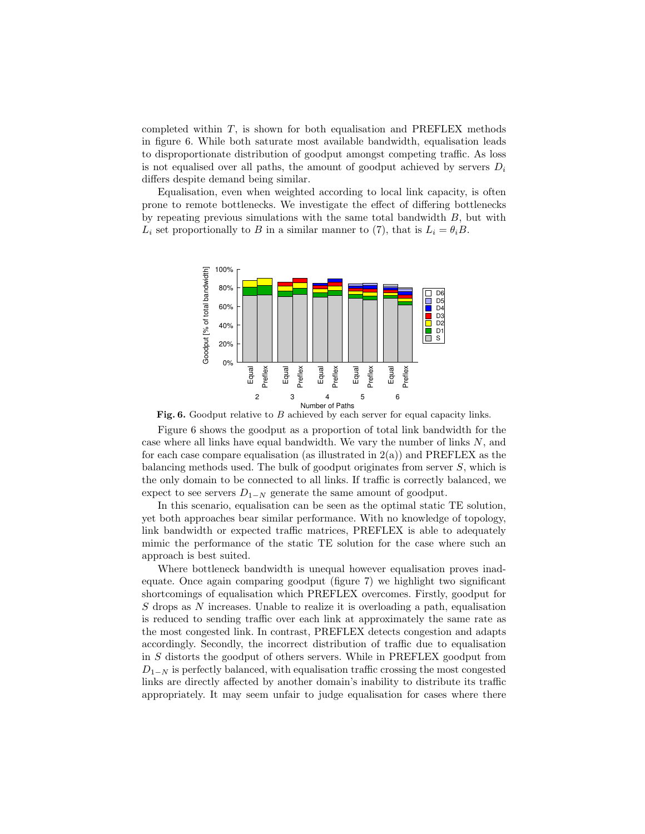completed within  $T$ , is shown for both equalisation and PREFLEX methods in figure 6. While both saturate most available bandwidth, equalisation leads to disproportionate distribution of goodput amongst competing traffic. As loss is not equalised over all paths, the amount of goodput achieved by servers  $D_i$ differs despite demand being similar.

Equalisation, even when weighted according to local link capacity, is often prone to remote bottlenecks. We investigate the effect of differing bottlenecks by repeating previous simulations with the same total bandwidth  $B$ , but with  $L_i$  set proportionally to B in a similar manner to (7), that is  $L_i = \theta_i B$ .



Fig. 6. Goodput relative to B achieved by each server for equal capacity links.

Figure 6 shows the goodput as a proportion of total link bandwidth for the case where all links have equal bandwidth. We vary the number of links N, and for each case compare equalisation (as illustrated in  $2(a)$ ) and PREFLEX as the balancing methods used. The bulk of goodput originates from server  $S$ , which is the only domain to be connected to all links. If traffic is correctly balanced, we expect to see servers  $D_{1-N}$  generate the same amount of goodput.

In this scenario, equalisation can be seen as the optimal static TE solution, yet both approaches bear similar performance. With no knowledge of topology, link bandwidth or expected traffic matrices, PREFLEX is able to adequately mimic the performance of the static TE solution for the case where such an approach is best suited.

Where bottleneck bandwidth is unequal however equalisation proves inadequate. Once again comparing goodput (figure 7) we highlight two significant shortcomings of equalisation which PREFLEX overcomes. Firstly, goodput for S drops as N increases. Unable to realize it is overloading a path, equalisation is reduced to sending traffic over each link at approximately the same rate as the most congested link. In contrast, PREFLEX detects congestion and adapts accordingly. Secondly, the incorrect distribution of traffic due to equalisation in S distorts the goodput of others servers. While in PREFLEX goodput from  $D_{1-N}$  is perfectly balanced, with equalisation traffic crossing the most congested links are directly affected by another domain's inability to distribute its traffic appropriately. It may seem unfair to judge equalisation for cases where there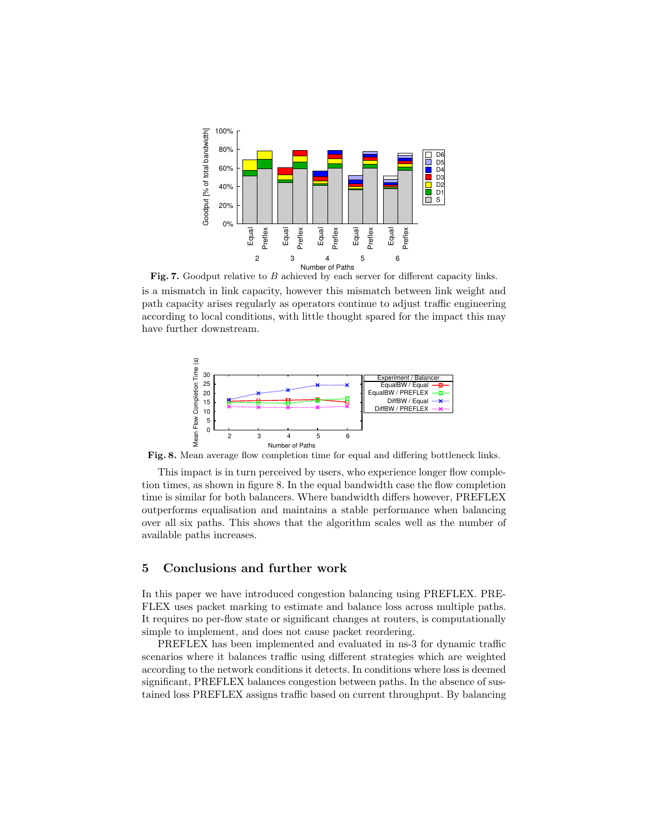

is a mismatch in link capacity, however this mismatch between link weight and path capacity arises regularly as operators continue to adjust traffic engineering according to local conditions, with little thought spared for the impact this may have further downstream.



Fig. 8. Mean average flow completion time for equal and differing bottleneck links.

This impact is in turn perceived by users, who experience longer flow completion times, as shown in figure 8. In the equal bandwidth case the flow completion time is similar for both balancers. Where bandwidth differs however, PREFLEX outperforms equalisation and maintains a stable performance when balancing over all six paths. This shows that the algorithm scales well as the number of available paths increases.

# 5 Conclusions and further work

In this paper we have introduced congestion balancing using PREFLEX. PRE-FLEX uses packet marking to estimate and balance loss across multiple paths. It requires no per-flow state or significant changes at routers, is computationally simple to implement, and does not cause packet reordering.

PREFLEX has been implemented and evaluated in ns-3 for dynamic traffic scenarios where it balances traffic using different strategies which are weighted according to the network conditions it detects. In conditions where loss is deemed significant, PREFLEX balances congestion between paths. In the absence of sustained loss PREFLEX assigns traffic based on current throughput. By balancing